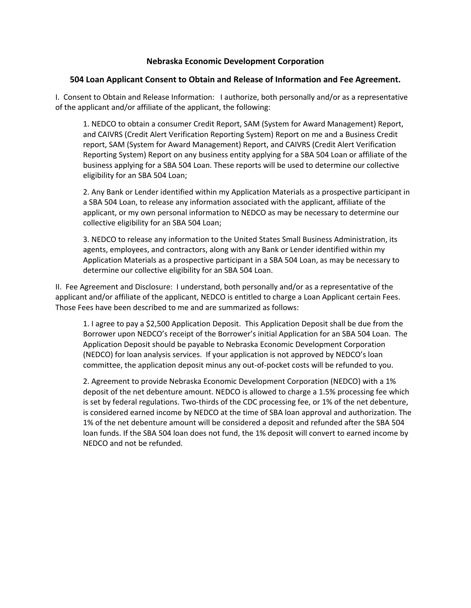## **Nebraska Economic Development Corporation**

## **504 Loan Applicant Consent to Obtain and Release of Information and Fee Agreement.**

I. Consent to Obtain and Release Information: I authorize, both personally and/or as a representative of the applicant and/or affiliate of the applicant, the following:

1. NEDCO to obtain a consumer Credit Report, SAM (System for Award Management) Report, and CAIVRS (Credit Alert Verification Reporting System) Report on me and a Business Credit report, SAM (System for Award Management) Report, and CAIVRS (Credit Alert Verification Reporting System) Report on any business entity applying for a SBA 504 Loan or affiliate of the business applying for a SBA 504 Loan. These reports will be used to determine our collective eligibility for an SBA 504 Loan;

2. Any Bank or Lender identified within my Application Materials as a prospective participant in a SBA 504 Loan, to release any information associated with the applicant, affiliate of the applicant, or my own personal information to NEDCO as may be necessary to determine our collective eligibility for an SBA 504 Loan;

3. NEDCO to release any information to the United States Small Business Administration, its agents, employees, and contractors, along with any Bank or Lender identified within my Application Materials as a prospective participant in a SBA 504 Loan, as may be necessary to determine our collective eligibility for an SBA 504 Loan.

II. Fee Agreement and Disclosure: I understand, both personally and/or as a representative of the applicant and/or affiliate of the applicant, NEDCO is entitled to charge a Loan Applicant certain Fees. Those Fees have been described to me and are summarized as follows:

1. I agree to pay a \$2,500 Application Deposit. This Application Deposit shall be due from the Borrower upon NEDCO's receipt of the Borrower's initial Application for an SBA 504 Loan. The Application Deposit should be payable to Nebraska Economic Development Corporation (NEDCO) for loan analysis services. If your application is not approved by NEDCO's loan committee, the application deposit minus any out-of-pocket costs will be refunded to you.

2. Agreement to provide Nebraska Economic Development Corporation (NEDCO) with a 1% deposit of the net debenture amount. NEDCO is allowed to charge a 1.5% processing fee which is set by federal regulations. Two-thirds of the CDC processing fee, or 1% of the net debenture, is considered earned income by NEDCO at the time of SBA loan approval and authorization. The 1% of the net debenture amount will be considered a deposit and refunded after the SBA 504 loan funds. If the SBA 504 loan does not fund, the 1% deposit will convert to earned income by NEDCO and not be refunded.